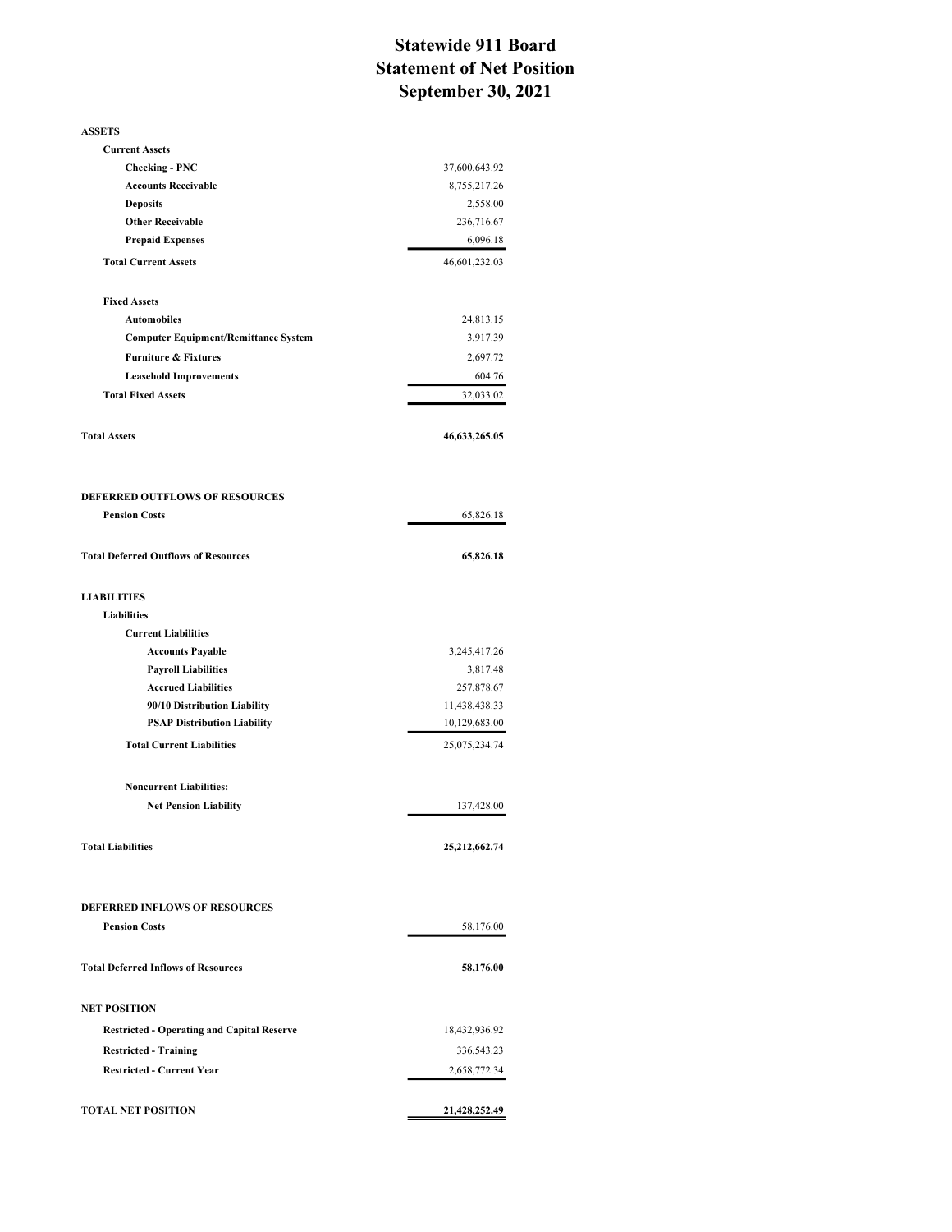## Statewide 911 Board Statement of Net Position September 30, 2021

| <b>ASSETS</b>                                     |               |
|---------------------------------------------------|---------------|
| <b>Current Assets</b>                             |               |
| <b>Checking - PNC</b>                             | 37,600,643.92 |
| <b>Accounts Receivable</b>                        | 8,755,217.26  |
| <b>Deposits</b>                                   | 2,558.00      |
| <b>Other Receivable</b>                           | 236,716.67    |
| <b>Prepaid Expenses</b>                           | 6,096.18      |
| <b>Total Current Assets</b>                       | 46,601,232.03 |
| <b>Fixed Assets</b>                               |               |
| <b>Automobiles</b>                                | 24,813.15     |
| <b>Computer Equipment/Remittance System</b>       | 3,917.39      |
| <b>Furniture &amp; Fixtures</b>                   | 2,697.72      |
| <b>Leasehold Improvements</b>                     | 604.76        |
| <b>Total Fixed Assets</b>                         | 32,033.02     |
| <b>Total Assets</b>                               | 46,633,265.05 |
| <b>DEFERRED OUTFLOWS OF RESOURCES</b>             |               |
| <b>Pension Costs</b>                              | 65,826.18     |
| <b>Total Deferred Outflows of Resources</b>       | 65,826.18     |
| <b>LIABILITIES</b>                                |               |
| <b>Liabilities</b>                                |               |
| <b>Current Liabilities</b>                        |               |
| <b>Accounts Payable</b>                           | 3,245,417.26  |
| <b>Payroll Liabilities</b>                        | 3,817.48      |
| <b>Accrued Liabilities</b>                        | 257,878.67    |
| 90/10 Distribution Liability                      | 11,438,438.33 |
| <b>PSAP Distribution Liability</b>                | 10,129,683.00 |
| <b>Total Current Liabilities</b>                  | 25,075,234.74 |
| <b>Noncurrent Liabilities:</b>                    |               |
| <b>Net Pension Liability</b>                      | 137,428.00    |
| <b>Total Liabilities</b>                          | 25,212,662.74 |
| <b>DEFERRED INFLOWS OF RESOURCES</b>              |               |
| <b>Pension Costs</b>                              | 58,176.00     |
|                                                   |               |
| <b>Total Deferred Inflows of Resources</b>        | 58,176.00     |
| <b>NET POSITION</b>                               |               |
| <b>Restricted - Operating and Capital Reserve</b> | 18,432,936.92 |
| <b>Restricted - Training</b>                      | 336,543.23    |
| <b>Restricted - Current Year</b>                  | 2,658,772.34  |
| <b>TOTAL NET POSITION</b>                         | 21,428,252.49 |